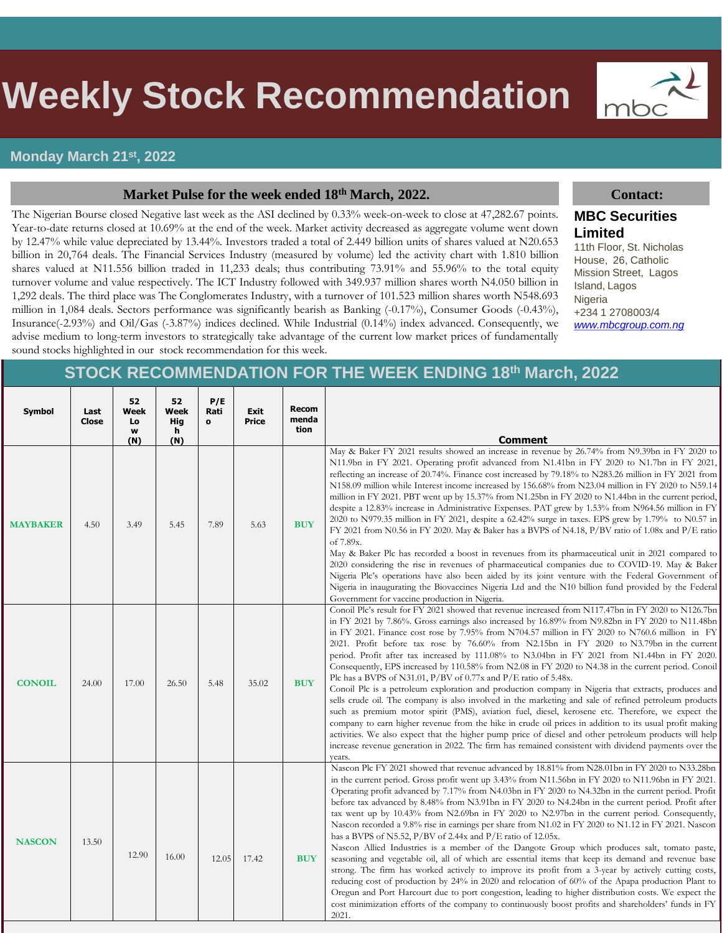# s **Weekly Stock Recommendation**

#### **Monday March 21st , 2022**

#### **Market Pulse for the week ended 18th March, 2022. Contact:**

The Nigerian Bourse closed Negative last week as the ASI declined by 0.33% week-on-week to close at 47,282.67 points. Year-to-date returns closed at 10.69% at the end of the week. Market activity decreased as aggregate volume went down by 12.47% while value depreciated by 13.44%. Investors traded a total of 2.449 billion units of shares valued at N20.653 billion in 20,764 deals. The Financial Services Industry (measured by volume) led the activity chart with 1.810 billion shares valued at N11.556 billion traded in 11,233 deals; thus contributing 73.91% and 55.96% to the total equity turnover volume and value respectively. The ICT Industry followed with 349.937 million shares worth N4.050 billion in 1,292 deals. The third place was The Conglomerates Industry, with a turnover of 101.523 million shares worth N548.693 million in 1,084 deals. Sectors performance was significantly bearish as Banking (-0.17%), Consumer Goods (-0.43%), Insurance(-2.93%) and Oil/Gas (-3.87%) indices declined. While Industrial (0.14%) index advanced. Consequently, we advise medium to long-term investors to strategically take advantage of the current low market prices of fundamentally sound stocks highlighted in our stock recommendation for this week.

mbc

### **MBC Securities Limited**

11th Floor, St. Nicholas House, 26, Catholic Mission Street, Lagos Island, Lagos Nigeria +234 1 2708003/4 *[www.mbcgroup.com.ng](http://www.mbcgroup.com.ng/)*

### **STOCK RECOMMENDATION FOR THE WEEK ENDING 18th March, 2022**

| Symbol          | Last<br><b>Close</b> | 52<br>Week<br>Lo<br>w<br>(N) | 52<br>Week<br>Hig<br>h<br>(N) | P/E<br>Rati<br>$\mathbf{o}$ | Exit<br><b>Price</b> | <b>Recom</b><br>menda<br>tion | <b>Comment</b>                                                                                                                                                                                                                                                                                                                                                                                                                                                                                                                                                                                                                                                                                                                                                                                                                                                                                                                                                                                                                                                                                                                                                                                                                                                                                                                                   |
|-----------------|----------------------|------------------------------|-------------------------------|-----------------------------|----------------------|-------------------------------|--------------------------------------------------------------------------------------------------------------------------------------------------------------------------------------------------------------------------------------------------------------------------------------------------------------------------------------------------------------------------------------------------------------------------------------------------------------------------------------------------------------------------------------------------------------------------------------------------------------------------------------------------------------------------------------------------------------------------------------------------------------------------------------------------------------------------------------------------------------------------------------------------------------------------------------------------------------------------------------------------------------------------------------------------------------------------------------------------------------------------------------------------------------------------------------------------------------------------------------------------------------------------------------------------------------------------------------------------|
| <b>MAYBAKER</b> | 4.50                 | 3.49                         | 5.45                          | 7.89                        | 5.63                 | <b>BUY</b>                    | May & Baker FY 2021 results showed an increase in revenue by 26.74% from N9.39bn in FY 2020 to<br>N11.9bn in FY 2021. Operating profit advanced from N1.41bn in FY 2020 to N1.7bn in FY 2021,<br>reflecting an increase of 20.74%. Finance cost increased by 79.18% to N283.26 million in FY 2021 from<br>N158.09 million while Interest income increased by 156.68% from N23.04 million in FY 2020 to N59.14<br>million in FY 2021. PBT went up by 15.37% from N1.25bn in FY 2020 to N1.44bn in the current period,<br>despite a 12.83% increase in Administrative Expenses. PAT grew by 1.53% from N964.56 million in FY<br>2020 to N979.35 million in FY 2021, despite a 62.42% surge in taxes. EPS grew by 1.79% to N0.57 in<br>FY 2021 from N0.56 in FY 2020. May & Baker has a BVPS of N4.18, P/BV ratio of 1.08x and P/E ratio<br>of 7.89x.<br>May & Baker Plc has recorded a boost in revenues from its pharmaceutical unit in 2021 compared to<br>2020 considering the rise in revenues of pharmaceutical companies due to COVID-19. May & Baker<br>Nigeria Plc's operations have also been aided by its joint venture with the Federal Government of<br>Nigeria in inaugurating the Biovaccines Nigeria Ltd and the N10 billion fund provided by the Federal<br>Government for vaccine production in Nigeria.                          |
| <b>CONOIL</b>   | 24.00                | 17.00                        | 26.50                         | 5.48                        | 35.02                | <b>BUY</b>                    | Conoil Plc's result for FY 2021 showed that revenue increased from N117.47bn in FY 2020 to N126.7bn<br>in FY 2021 by 7.86%. Gross earnings also increased by 16.89% from N9.82bn in FY 2020 to N11.48bn<br>in FY 2021. Finance cost rose by 7.95% from N704.57 million in FY 2020 to N760.6 million in FY<br>2021. Profit before tax rose by 76.60% from N2.15bn in FY 2020 to N3.79bn in the current<br>period. Profit after tax increased by 111.08% to N3.04bn in FY 2021 from N1.44bn in FY 2020.<br>Consequently, EPS increased by 110.58% from N2.08 in FY 2020 to N4.38 in the current period. Conoil<br>Plc has a BVPS of N31.01, $P/BV$ of 0.77x and $P/E$ ratio of 5.48x.<br>Conoil Plc is a petroleum exploration and production company in Nigeria that extracts, produces and<br>sells crude oil. The company is also involved in the marketing and sale of refined petroleum products<br>such as premium motor spirit (PMS), aviation fuel, diesel, kerosene etc. Therefore, we expect the<br>company to earn higher revenue from the hike in crude oil prices in addition to its usual profit making<br>activities. We also expect that the higher pump price of diesel and other petroleum products will help<br>increase revenue generation in 2022. The firm has remained consistent with dividend payments over the<br>vears. |
| <b>NASCON</b>   | 13.50                | 12.90                        | 16.00                         | 12.05                       | 17.42                | <b>BUY</b>                    | Nascon Plc FY 2021 showed that revenue advanced by 18.81% from N28.01bn in FY 2020 to N33.28bn<br>in the current period. Gross profit went up 3.43% from N11.56bn in FY 2020 to N11.96bn in FY 2021.<br>Operating profit advanced by 7.17% from N4.03bn in FY 2020 to N4.32bn in the current period. Profit<br>before tax advanced by 8.48% from N3.91bn in FY 2020 to N4.24bn in the current period. Profit after<br>tax went up by 10.43% from N2.69bn in FY 2020 to N2.97bn in the current period. Consequently,<br>Nascon recorded a 9.8% rise in earnings per share from N1.02 in FY 2020 to N1.12 in FY 2021. Nascon<br>has a BVPS of N5.52, $P/BV$ of 2.44x and $P/E$ ratio of 12.05x.<br>Nascon Allied Industries is a member of the Dangote Group which produces salt, tomato paste,<br>seasoning and vegetable oil, all of which are essential items that keep its demand and revenue base<br>strong. The firm has worked actively to improve its profit from a 3-year by actively cutting costs,<br>reducing cost of production by $24\%$ in 2020 and relocation of 60% of the Apapa production Plant to<br>Oregun and Port Harcourt due to port congestion, leading to higher distribution costs. We expect the<br>cost minimization efforts of the company to continuously boost profits and shareholders' funds in FY<br>2021.     |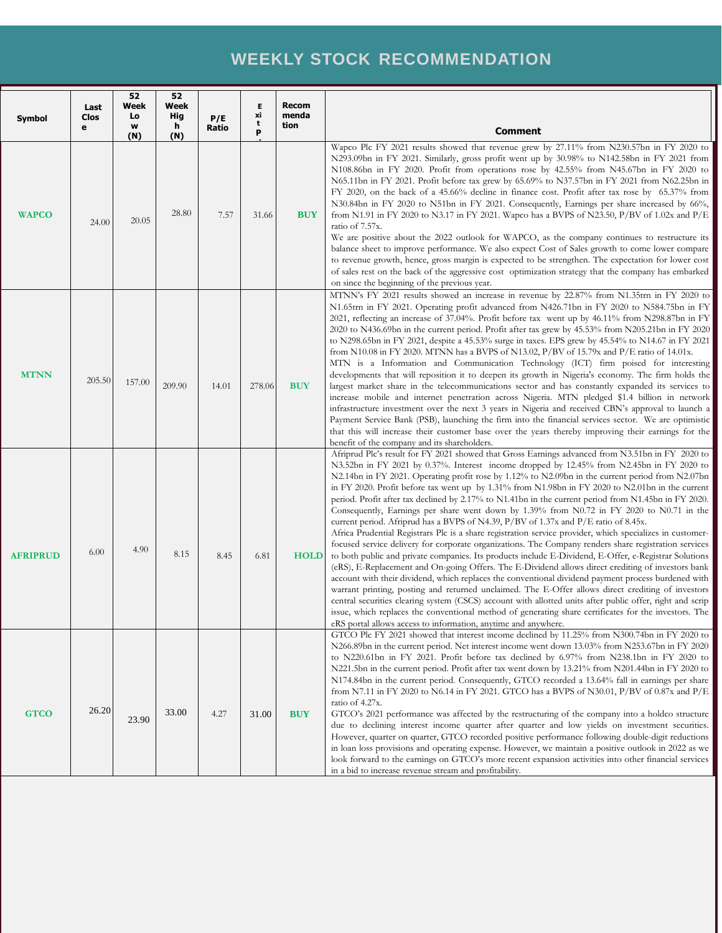# **WEEKLY STOCK RECOMMENDATION**

| Symbol          | Last<br>Clos<br>е | 52<br>Week<br>Lo<br>w<br>(N) | 52<br>Week<br>Hig<br>h<br>(N) | P/E<br>Ratio | Е<br>xi<br>t<br>P | <b>Recom</b><br>menda<br>tion | <b>Comment</b>                                                                                                                                                                                                                                                                                                                                                                                                                                                                                                                                                                                                                                                                                                                                                                                                                                                                                                                                                                                                                                                                                                                                                                                                                                                                                                                                                                                                                                                                                                                                                                                                                              |
|-----------------|-------------------|------------------------------|-------------------------------|--------------|-------------------|-------------------------------|---------------------------------------------------------------------------------------------------------------------------------------------------------------------------------------------------------------------------------------------------------------------------------------------------------------------------------------------------------------------------------------------------------------------------------------------------------------------------------------------------------------------------------------------------------------------------------------------------------------------------------------------------------------------------------------------------------------------------------------------------------------------------------------------------------------------------------------------------------------------------------------------------------------------------------------------------------------------------------------------------------------------------------------------------------------------------------------------------------------------------------------------------------------------------------------------------------------------------------------------------------------------------------------------------------------------------------------------------------------------------------------------------------------------------------------------------------------------------------------------------------------------------------------------------------------------------------------------------------------------------------------------|
| <b>WAPCO</b>    | 24.00             | 20.05                        | 28.80                         | 7.57         | 31.66             | <b>BUY</b>                    | Wapco Plc FY 2021 results showed that revenue grew by 27.11% from N230.57bn in FY 2020 to<br>N293.09bn in FY 2021. Similarly, gross profit went up by 30.98% to N142.58bn in FY 2021 from<br>N108.86bn in FY 2020. Profit from operations rose by 42.55% from N45.67bn in FY 2020 to<br>N65.11bn in FY 2021. Profit before tax grew by 65.69% to N37.57bn in FY 2021 from N62.25bn in<br>FY 2020, on the back of a 45.66% decline in finance cost. Profit after tax rose by 65.37% from<br>N30.84bn in FY 2020 to N51bn in FY 2021. Consequently, Earnings per share increased by 66%,<br>from N1.91 in FY 2020 to N3.17 in FY 2021. Wapco has a BVPS of N23.50, $P/BV$ of 1.02x and $P/E$<br>ratio of 7.57x.<br>We are positive about the 2022 outlook for WAPCO, as the company continues to restructure its<br>balance sheet to improve performance. We also expect Cost of Sales growth to come lower compare<br>to revenue growth, hence, gross margin is expected to be strengthen. The expectation for lower cost<br>of sales rest on the back of the aggressive cost optimization strategy that the company has embarked<br>on since the beginning of the previous year.                                                                                                                                                                                                                                                                                                                                                                                                                                                            |
| <b>MTNN</b>     | 205.50            | 157.00                       | 209.90                        | 14.01        | 278.06            | <b>BUY</b>                    | MTNN's FY 2021 results showed an increase in revenue by 22.87% from N1.35trn in FY 2020 to<br>N1.65trn in FY 2021. Operating profit advanced from N426.71bn in FY 2020 to N584.75bn in FY<br>2021, reflecting an increase of 37.04%. Profit before tax went up by 46.11% from N298.87bn in FY<br>2020 to N436.69bn in the current period. Profit after tax grew by 45.53% from N205.21bn in FY 2020<br>to N298.65bn in FY 2021, despite a 45.53% surge in taxes. EPS grew by 45.54% to N14.67 in FY 2021<br>from N10.08 in FY 2020. MTNN has a BVPS of N13.02, $P/BV$ of 15.79x and $P/E$ ratio of 14.01x.<br>MTN is a Information and Communication Technology (ICT) firm poised for interesting<br>developments that will reposition it to deepen its growth in Nigeria's economy. The firm holds the<br>largest market share in the telecommunications sector and has constantly expanded its services to<br>increase mobile and internet penetration across Nigeria. MTN pledged \$1.4 billion in network<br>infrastructure investment over the next 3 years in Nigeria and received CBN's approval to launch a<br>Payment Service Bank (PSB), launching the firm into the financial services sector. We are optimistic<br>that this will increase their customer base over the years thereby improving their earnings for the<br>benefit of the company and its shareholders.                                                                                                                                                                                                                                                          |
| <b>AFRIPRUD</b> | 6.00              | 4.90                         | 8.15                          | 8.45         | 6.81              | <b>HOLD</b>                   | Afriprud Plc's result for FY 2021 showed that Gross Earnings advanced from N3.51bn in FY 2020 to<br>N3.52bn in FY 2021 by 0.37%. Interest income dropped by 12.45% from N2.45bn in FY 2020 to<br>N2.14bn in FY 2021. Operating profit rose by 1.12% to N2.09bn in the current period from N2.07bn<br>in FY 2020. Profit before tax went up by 1.31% from N1.98bn in FY 2020 to N2.01bn in the current<br>period. Profit after tax declined by 2.17% to N1.41bn in the current period from N1.45bn in FY 2020.<br>Consequently, Earnings per share went down by 1.39% from N0.72 in FY 2020 to N0.71 in the<br>current period. Afriprud has a BVPS of N4.39, P/BV of 1.37x and P/E ratio of 8.45x.<br>Africa Prudential Registrars Plc is a share registration service provider, which specializes in customer-<br>focused service delivery for corporate organizations. The Company renders share registration services<br>to both public and private companies. Its products include E-Dividend, E-Offer, e-Registrar Solutions<br>(eRS), E-Replacement and On-going Offers. The E-Dividend allows direct crediting of investors bank<br>account with their dividend, which replaces the conventional dividend payment process burdened with<br>warrant printing, posting and returned unclaimed. The E-Offer allows direct crediting of investors<br>central securities clearing system (CSCS) account with allotted units after public offer, right and scrip<br>issue, which replaces the conventional method of generating share certificates for the investors. The<br>eRS portal allows access to information, anytime and anywhere. |
| <b>GTCO</b>     | 26.20             | 23.90                        | 33.00                         | 4.27         | 31.00             | <b>BUY</b>                    | GTCO Plc FY 2021 showed that interest income declined by 11.25% from N300.74bn in FY 2020 to<br>N266.89bn in the current period. Net interest income went down 13.03% from N253.67bn in FY 2020<br>to N220.61bn in FY 2021. Profit before tax declined by 6.97% from N238.1bn in FY 2020 to<br>N221.5bn in the current period. Profit after tax went down by 13.21% from N201.44bn in FY 2020 to<br>N174.84bn in the current period. Consequently, GTCO recorded a 13.64% fall in earnings per share<br>from N7.11 in FY 2020 to N6.14 in FY 2021. GTCO has a BVPS of N30.01, P/BV of 0.87x and P/E<br>ratio of 4.27x.<br>GTCO's 2021 performance was affected by the restructuring of the company into a holdco structure<br>due to declining interest income quarter after quarter and low yields on investment securities.<br>However, quarter on quarter, GTCO recorded positive performance following double-digit reductions<br>in loan loss provisions and operating expense. However, we maintain a positive outlook in 2022 as we<br>look forward to the earnings on GTCO's more recent expansion activities into other financial services<br>in a bid to increase revenue stream and profitability.                                                                                                                                                                                                                                                                                                                                                                                                                               |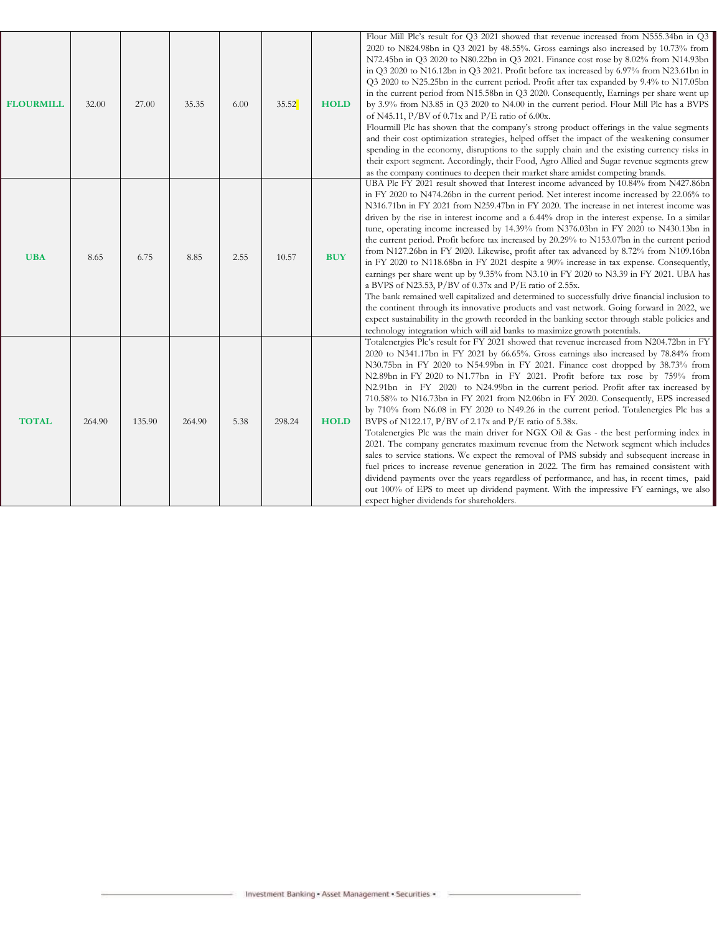| <b>FLOURMILL</b> | 32.00  | 27.00  | 35.35  | 6.00 | 35.52  | <b>HOLD</b> | Flour Mill Plc's result for Q3 2021 showed that revenue increased from N555.34bn in Q3<br>2020 to N824.98bn in Q3 2021 by 48.55%. Gross earnings also increased by 10.73% from<br>N72.45bn in Q3 2020 to N80.22bn in Q3 2021. Finance cost rose by 8.02% from N14.93bn<br>in Q3 2020 to N16.12bn in Q3 2021. Profit before tax increased by 6.97% from N23.61bn in<br>Q3 2020 to N25.25bn in the current period. Profit after tax expanded by 9.4% to N17.05bn<br>in the current period from N15.58bn in Q3 2020. Consequently, Earnings per share went up<br>by 3.9% from N3.85 in Q3 2020 to N4.00 in the current period. Flour Mill Plc has a BVPS<br>of N45.11, $P/BV$ of 0.71x and $P/E$ ratio of 6.00x.<br>Flourmill Plc has shown that the company's strong product offerings in the value segments<br>and their cost optimization strategies, helped offset the impact of the weakening consumer<br>spending in the economy, disruptions to the supply chain and the existing currency risks in<br>their export segment. Accordingly, their Food, Agro Allied and Sugar revenue segments grew<br>as the company continues to deepen their market share amidst competing brands.                                                                                                                 |
|------------------|--------|--------|--------|------|--------|-------------|---------------------------------------------------------------------------------------------------------------------------------------------------------------------------------------------------------------------------------------------------------------------------------------------------------------------------------------------------------------------------------------------------------------------------------------------------------------------------------------------------------------------------------------------------------------------------------------------------------------------------------------------------------------------------------------------------------------------------------------------------------------------------------------------------------------------------------------------------------------------------------------------------------------------------------------------------------------------------------------------------------------------------------------------------------------------------------------------------------------------------------------------------------------------------------------------------------------------------------------------------------------------------------------------------------|
| <b>UBA</b>       | 8.65   | 6.75   | 8.85   | 2.55 | 10.57  | <b>BUY</b>  | UBA Plc FY 2021 result showed that Interest income advanced by 10.84% from N427.86bn<br>in FY 2020 to N474.26bn in the current period. Net interest income increased by 22.06% to<br>N316.71bn in FY 2021 from N259.47bn in FY 2020. The increase in net interest income was<br>driven by the rise in interest income and a 6.44% drop in the interest expense. In a similar<br>tune, operating income increased by 14.39% from N376.03bn in FY 2020 to N430.13bn in<br>the current period. Profit before tax increased by 20.29% to N153.07bn in the current period<br>from N127.26bn in FY 2020. Likewise, profit after tax advanced by 8.72% from N109.16bn<br>in FY 2020 to N118.68bn in FY 2021 despite a 90% increase in tax expense. Consequently,<br>earnings per share went up by 9.35% from N3.10 in FY 2020 to N3.39 in FY 2021. UBA has<br>a BVPS of N23.53, P/BV of $0.37x$ and P/E ratio of 2.55x.<br>The bank remained well capitalized and determined to successfully drive financial inclusion to<br>the continent through its innovative products and vast network. Going forward in 2022, we<br>expect sustainability in the growth recorded in the banking sector through stable policies and<br>technology integration which will aid banks to maximize growth potentials.         |
| <b>TOTAL</b>     | 264.90 | 135.90 | 264.90 | 5.38 | 298.24 | <b>HOLD</b> | Totalenergies Plc's result for FY 2021 showed that revenue increased from N204.72bn in FY<br>2020 to N341.17bn in FY 2021 by 66.65%. Gross earnings also increased by 78.84% from<br>N30.75bn in FY 2020 to N54.99bn in FY 2021. Finance cost dropped by 38.73% from<br>N2.89bn in FY 2020 to N1.77bn in FY 2021. Profit before tax rose by 759% from<br>N2.91bn in FY 2020 to N24.99bn in the current period. Profit after tax increased by<br>710.58% to N16.73bn in FY 2021 from N2.06bn in FY 2020. Consequently, EPS increased<br>by 710% from N6.08 in FY 2020 to N49.26 in the current period. Totalenergies Plc has a<br>BVPS of N122.17, P/BV of 2.17x and P/E ratio of 5.38x.<br>Totalenergies Plc was the main driver for NGX Oil & Gas - the best performing index in<br>2021. The company generates maximum revenue from the Network segment which includes<br>sales to service stations. We expect the removal of PMS subsidy and subsequent increase in<br>fuel prices to increase revenue generation in 2022. The firm has remained consistent with<br>dividend payments over the years regardless of performance, and has, in recent times, paid<br>out 100% of EPS to meet up dividend payment. With the impressive FY earnings, we also<br>expect higher dividends for shareholders. |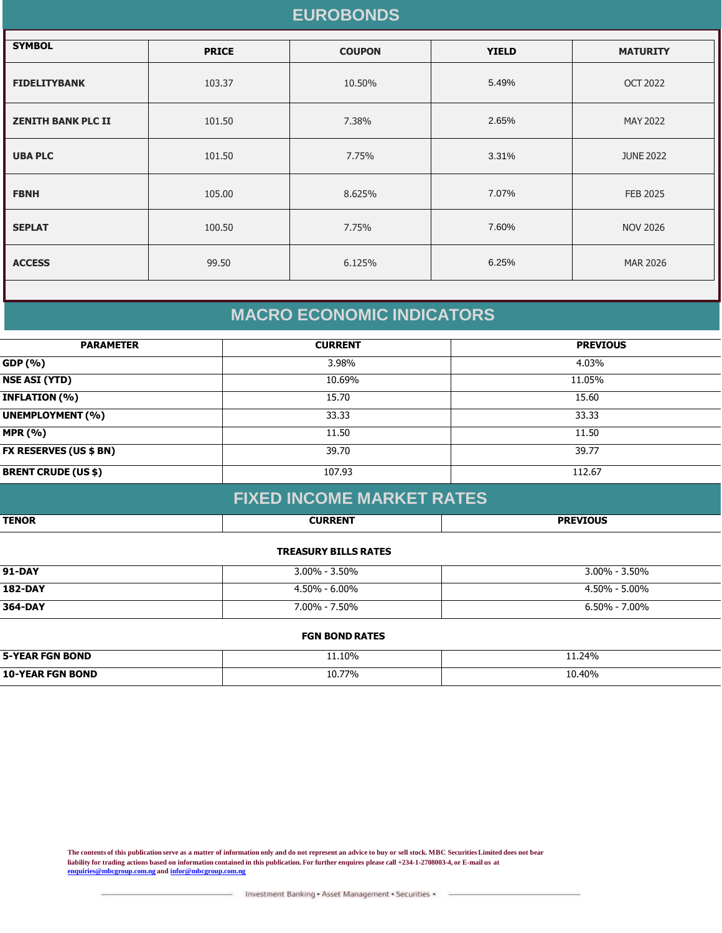### **EUROBONDS**

| <b>SYMBOL</b>             | <b>PRICE</b> | <b>COUPON</b> | <b>YIELD</b> | <b>MATURITY</b>  |
|---------------------------|--------------|---------------|--------------|------------------|
| <b>FIDELITYBANK</b>       | 103.37       | 10.50%        | 5.49%        | <b>OCT 2022</b>  |
| <b>ZENITH BANK PLC II</b> | 101.50       | 7.38%         | 2.65%        | MAY 2022         |
| <b>UBA PLC</b>            | 101.50       | 7.75%         | 3.31%        | <b>JUNE 2022</b> |
| <b>FBNH</b>               | 105.00       | 8.625%        | 7.07%        | <b>FEB 2025</b>  |
| <b>SEPLAT</b>             | 100.50       | 7.75%         | 7.60%        | <b>NOV 2026</b>  |
| <b>ACCESS</b>             | 99.50        | 6.125%        | 6.25%        | <b>MAR 2026</b>  |
|                           |              |               |              |                  |

## **MACRO ECONOMIC INDICATORS**

| <b>PARAMETER</b>              | <b>CURRENT</b> | <b>PREVIOUS</b> |
|-------------------------------|----------------|-----------------|
| GDP (%)                       | 3.98%          | 4.03%           |
| <b>NSE ASI (YTD)</b>          | 10.69%         | 11.05%          |
| <b>INFLATION (%)</b>          | 15.70          | 15.60           |
| <b>UNEMPLOYMENT (%)</b>       | 33.33          | 33.33           |
| <b>MPR (%)</b>                | 11.50          | 11.50           |
| <b>FX RESERVES (US \$ BN)</b> | 39.70          | 39.77           |
| <b>BRENT CRUDE (US \$)</b>    | 107.93         | 112.67          |

### **FIXED INCOME MARKET RATES**

| <b>TENOR</b> | <b>CURRENT</b><br>ŒN | <b>DDEVTALIC</b> |
|--------------|----------------------|------------------|

#### **TREASURY BILLS RATES**

| <b>91-DAY</b>  | $3.00\%$ - 3.50%  | $3.00\% - 3.50\%$ |
|----------------|-------------------|-------------------|
| <b>182-DAY</b> | $4.50\% - 6.00\%$ | $4.50\% - 5.00\%$ |
| 364-DAY        | 7.00% - 7.50%     | $6.50\% - 7.00\%$ |

#### **FGN BOND RATES**

| <b>5-YEAR FGN BOND</b> | 11.10% | 11.24% |
|------------------------|--------|--------|
| 10-YE<br>FGN ROND      | 10.77% | 10.40% |

**The contents of this publication serve as a matter of information only and do not represent an advice to buy or sell stock. MBC Securities Limited does not bear liability for trading actions based on information contained in this publication. For further enquires please call +234-1-2708003-4, or E-mail us at [enquiries@mbcgroup.com.ng](mailto:enquiries@mbcgroup.com.ng) and [infor@mbcgroup.com.ng](mailto:infor@mbcgroup.com.ng)**

Investment Banking - Asset Management - Securities -